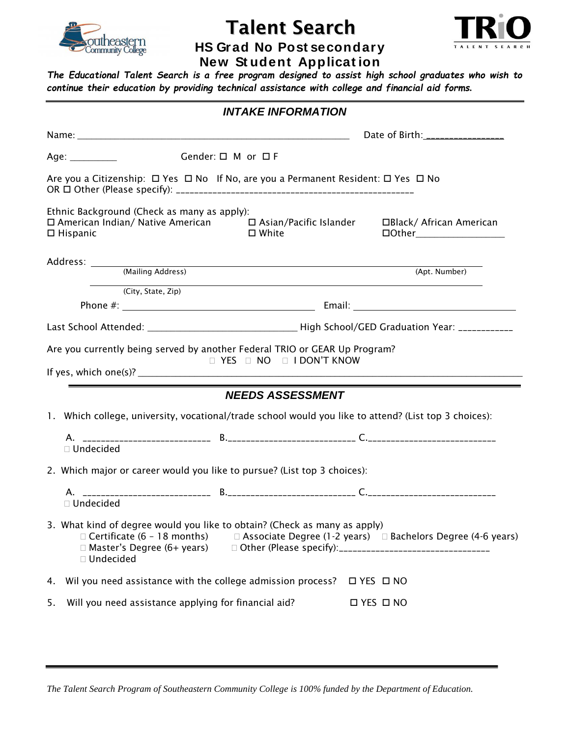

# Talent Search



**HS Grad No Post secondary New St udent Applicat ion**

*The Educational Talent Search is a free program designed to assist high school graduates who wish to continue their education by providing technical assistance with college and financial aid forms.*

| <b>INTAKE INFORMATION</b> |                                                                                   |                                    |                                                                                                                        |                                  |                                                                                                                                                                                                                                                                                           |  |  |  |  |
|---------------------------|-----------------------------------------------------------------------------------|------------------------------------|------------------------------------------------------------------------------------------------------------------------|----------------------------------|-------------------------------------------------------------------------------------------------------------------------------------------------------------------------------------------------------------------------------------------------------------------------------------------|--|--|--|--|
|                           |                                                                                   |                                    |                                                                                                                        | Date of Birth: _________________ |                                                                                                                                                                                                                                                                                           |  |  |  |  |
|                           | Age: $\frac{1}{2}$                                                                | Gender: $\square$ M or $\square$ F |                                                                                                                        |                                  |                                                                                                                                                                                                                                                                                           |  |  |  |  |
|                           |                                                                                   |                                    | Are you a Citizenship: □ Yes □ No If No, are you a Permanent Resident: □ Yes □ No                                      |                                  |                                                                                                                                                                                                                                                                                           |  |  |  |  |
| $\Box$ Hispanic           | Ethnic Background (Check as many as apply):                                       |                                    | $\square$ White                                                                                                        |                                  | □ American Indian/ Native American □ Asian/Pacific Islander □ Black/ African American<br><b>DOther____________________</b>                                                                                                                                                                |  |  |  |  |
|                           |                                                                                   |                                    |                                                                                                                        |                                  |                                                                                                                                                                                                                                                                                           |  |  |  |  |
|                           |                                                                                   |                                    |                                                                                                                        |                                  | (Apt. Number)                                                                                                                                                                                                                                                                             |  |  |  |  |
|                           | (City, State, Zip)                                                                |                                    |                                                                                                                        |                                  |                                                                                                                                                                                                                                                                                           |  |  |  |  |
|                           |                                                                                   |                                    |                                                                                                                        |                                  |                                                                                                                                                                                                                                                                                           |  |  |  |  |
|                           |                                                                                   |                                    |                                                                                                                        |                                  |                                                                                                                                                                                                                                                                                           |  |  |  |  |
|                           | <u> 1989 - Johann Barn, mars an t-Amerikaansk kommunist (</u>                     |                                    | Are you currently being served by another Federal TRIO or GEAR Up Program?<br>$\Box$ YES $\Box$ NO $\Box$ I DON'T KNOW |                                  | If yes, which one(s)? $\sqrt{2\pi}$ and $\sqrt{2\pi}$ and $\sqrt{2\pi}$ and $\sqrt{2\pi}$ and $\sqrt{2\pi}$ and $\sqrt{2\pi}$ and $\sqrt{2\pi}$ and $\sqrt{2\pi}$ and $\sqrt{2\pi}$ and $\sqrt{2\pi}$ and $\sqrt{2\pi}$ and $\sqrt{2\pi}$ and $\sqrt{2\pi}$ and $\sqrt{2\pi}$ and $\sqrt$ |  |  |  |  |
|                           |                                                                                   |                                    | <b>NEEDS ASSESSMENT</b>                                                                                                |                                  | 1. Which college, university, vocational/trade school would you like to attend? (List top 3 choices):                                                                                                                                                                                     |  |  |  |  |
|                           | □ Undecided                                                                       |                                    |                                                                                                                        |                                  |                                                                                                                                                                                                                                                                                           |  |  |  |  |
|                           |                                                                                   |                                    | 2. Which major or career would you like to pursue? (List top 3 choices):                                               |                                  |                                                                                                                                                                                                                                                                                           |  |  |  |  |
|                           | □ Undecided                                                                       |                                    |                                                                                                                        |                                  |                                                                                                                                                                                                                                                                                           |  |  |  |  |
|                           | $\Box$ Certificate (6 - 18 months)<br>□ Master's Degree (6+ years)<br>□ Undecided |                                    | 3. What kind of degree would you like to obtain? (Check as many as apply)                                              |                                  | $\Box$ Associate Degree (1-2 years) $\Box$ Bachelors Degree (4-6 years)                                                                                                                                                                                                                   |  |  |  |  |
|                           |                                                                                   |                                    | 4. Wil you need assistance with the college admission process? $\Box$ YES $\Box$ NO                                    |                                  |                                                                                                                                                                                                                                                                                           |  |  |  |  |
| 5.                        | Will you need assistance applying for financial aid?                              |                                    |                                                                                                                        | <b>□ YES □ NO</b>                |                                                                                                                                                                                                                                                                                           |  |  |  |  |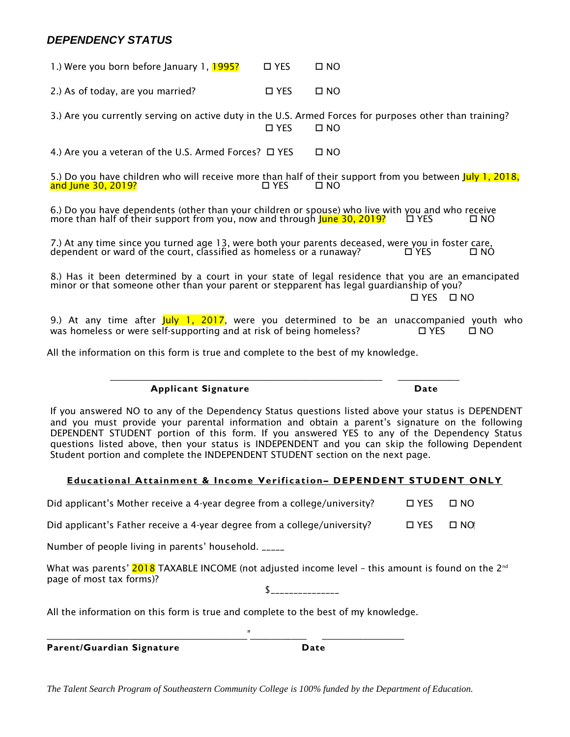# *DEPENDENCY STATUS*

1.) Were you born before January 1,  $\frac{1995?}{ }$   $\Box$  YES  $\Box$  NO 2.) As of today, are you married?  $\Box$  YES  $\Box$  NO 3.) Are you currently serving on active duty in the U.S. Armed Forces for purposes other than training? NO NO DI YES DI NO 4.) Are you a veteran of the U.S. Armed Forces?  $\Box$  YES  $\Box$  NO

5.) Do you have children who will receive more than half of their support from you between July 1, 2018,<br>and June 30, 2019? and June 30, 2019?

6.) Do you have dependents (other than your children or spouse) who live with you and who receive more than half of their support from you, now and through June 30, 2019? YES NO

7.) At any time since you turned age 13, were both your parents deceased, were you in foster care,<br>dependent or ward of the court, classified as homeless or a runaway? □ YES □ □ NO dependent or ward of the court, classified as homeless or a runaway?

8.) Has it been determined by a court in your state of legal residence that you are an emancipated minor or that someone other than your parent or stepparent has legal guardianship of you?

YES NO

9.) At any time after July 1, 2017, were you determined to be an unaccompanied youth who was homeless or were self-supporting and at risk of being homeless?  $\Box$  YES  $\Box$  NO

\_\_\_\_\_\_\_\_\_\_\_\_\_\_\_\_\_\_\_\_\_\_\_\_\_\_\_\_\_\_\_\_\_\_\_\_\_\_\_\_\_\_\_\_\_\_\_\_\_\_\_\_\_ \_\_\_\_\_\_\_\_\_\_\_\_

All the information on this form is true and complete to the best of my knowledge.

 **Applicant Signature Date**

If you answered NO to any of the Dependency Status questions listed above your status is DEPENDENT and you must provide your parental information and obtain a parent's signature on the following DEPENDENT STUDENT portion of this form. If you answered YES to any of the Dependency Status questions listed above, then your status is INDEPENDENT and you can skip the following Dependent Student portion and complete the INDEPENDENT STUDENT section on the next page.

# **Educational Attainment & Income Verification– DEPENDENT STUDENT ONLY**

Did applicant's Mother receive a 4-year degree from a college/university?  $\Box$  YES  $\Box$  NO

Did applicant's Father receive a 4-year degree from a college/university?  $\Box$  YES  $\Box$  NO

Number of people living in parents' household. \_\_\_\_\_

What was parents'  $2018$  TAXABLE INCOME (not adjusted income level - this amount is found on the  $2^{nd}$ page of most tax forms)?

 $\sim$ 

All the information on this form is true and complete to the best of my knowledge.

 $\qquad \qquad \blacksquare$ 

**Parent/Guardian Signature Date**

*The Talent Search Program of Southeastern Community College is 100% funded by the Department of Education.*